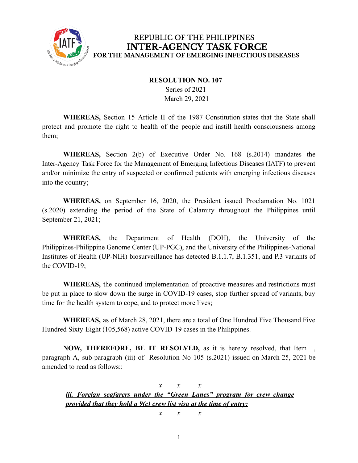

## REPUBLIC OF THE PHILIPPINES **INTER-AGENCY TASK FORCE** FOR THE MANAGEMENT OF EMERGING INFECTIOUS DISEASES

## **RESOLUTION NO. 107**

Series of 2021 March 29, 2021

**WHEREAS,** Section 15 Article II of the 1987 Constitution states that the State shall protect and promote the right to health of the people and instill health consciousness among them;

**WHEREAS,** Section 2(b) of Executive Order No. 168 (s.2014) mandates the Inter-Agency Task Force for the Management of Emerging Infectious Diseases (IATF) to prevent and/or minimize the entry of suspected or confirmed patients with emerging infectious diseases into the country;

**WHEREAS,** on September 16, 2020, the President issued Proclamation No. 1021 (s.2020) extending the period of the State of Calamity throughout the Philippines until September 21, 2021;

**WHEREAS,** the Department of Health (DOH), the University of the Philippines-Philippine Genome Center (UP-PGC), and the University of the Philippines-National Institutes of Health (UP-NIH) biosurveillance has detected B.1.1.7, B.1.351, and P.3 variants of the COVID-19;

**WHEREAS,** the continued implementation of proactive measures and restrictions must be put in place to slow down the surge in COVID-19 cases, stop further spread of variants, buy time for the health system to cope, and to protect more lives;

**WHEREAS,** as of March 28, 2021, there are a total of One Hundred Five Thousand Five Hundred Sixty-Eight (105,568) active COVID-19 cases in the Philippines.

**NOW, THEREFORE, BE IT RESOLVED,** as it is hereby resolved, that Item 1, paragraph A, sub-paragraph (iii) of Resolution No 105 (s.2021) issued on March 25, 2021 be amended to read as follows::

*x x x iii. Foreign seafarers under the "Green Lanes" program for crew change provided that they hold a 9(c) crew list visa at the time of entry;*

*x x x*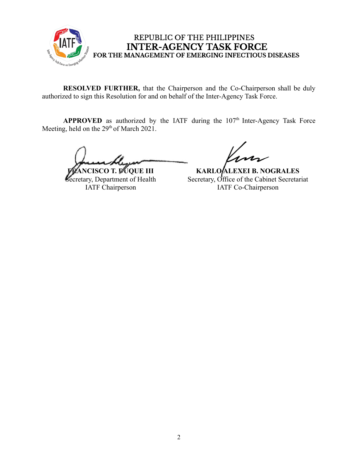

## REPUBLIC OF THE PHILIPPINES **INTER-AGENCY TASK FORCE** FOR THE MANAGEMENT OF EMERGING INFECTIOUS DISEASES

**RESOLVED FURTHER,** that the Chairperson and the Co-Chairperson shall be duly authorized to sign this Resolution for and on behalf of the Inter-Agency Task Force.

**APPROVED** as authorized by the IATF during the  $107<sup>th</sup>$  Inter-Agency Task Force Meeting, held on the 29<sup>th</sup> of March 2021.

**FRANCISCO T. DUQUE III** Secretary, Department of Health IATF Chairperson

**KARLO ALEXEI B. NOGRALES** Secretary, Office of the Cabinet Secretariat IATF Co-Chairperson